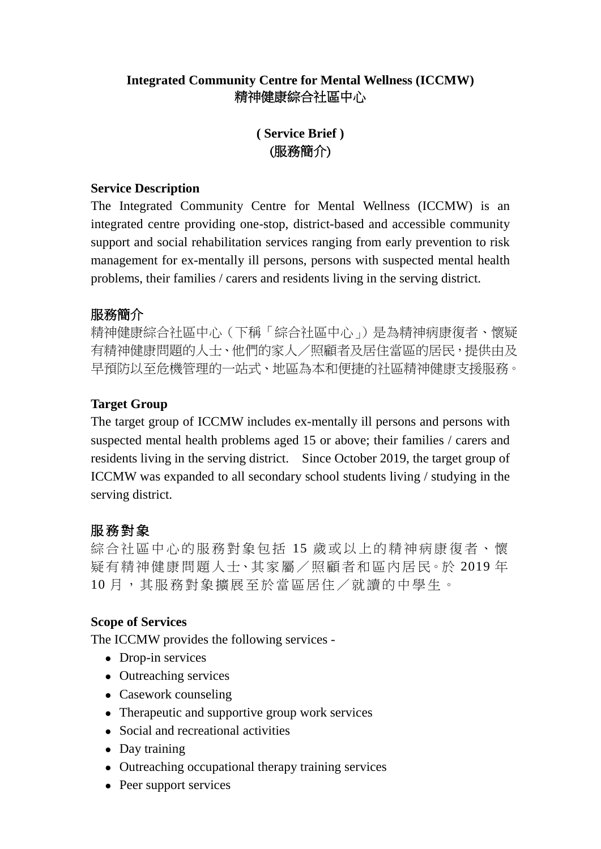### **Integrated Community Centre for Mental Wellness (ICCMW)** 精神健康綜合社區中心

# **( Service Brief )** (服務簡介)

#### **Service Description**

The Integrated Community Centre for Mental Wellness (ICCMW) is an integrated centre providing one-stop, district-based and accessible community support and social rehabilitation services ranging from early prevention to risk management for ex-mentally ill persons, persons with suspected mental health problems, their families / carers and residents living in the serving district.

### 服務簡介

精神健康綜合社區中心(下稱「綜合社區中心」)是為精神病康復者、懷疑 有精神健康問題的人士、他們的家人/照顧者及居住當區的居民,提供由及 早預防以至危機管理的一站式、地區為本和便捷的社區精神健康支援服務。

### **Target Group**

The target group of ICCMW includes ex-mentally ill persons and persons with suspected mental health problems aged 15 or above; their families / carers and residents living in the serving district. Since October 2019, the target group of ICCMW was expanded to all secondary school students living / studying in the serving district.

## 服務對象

綜合社區中心的服務對象包括 15 歲或以上的精神病康復者、懷 疑有精神健康問題人士、其家屬/照顧者和區內居民。於 2019 年 10月,其服務對象擴展至於當區居住/就讀的中學生。

### **Scope of Services**

The ICCMW provides the following services -

- Drop-in services
- Outreaching services
- Casework counseling
- Therapeutic and supportive group work services
- Social and recreational activities
- Day training
- Outreaching occupational therapy training services
- Peer support services